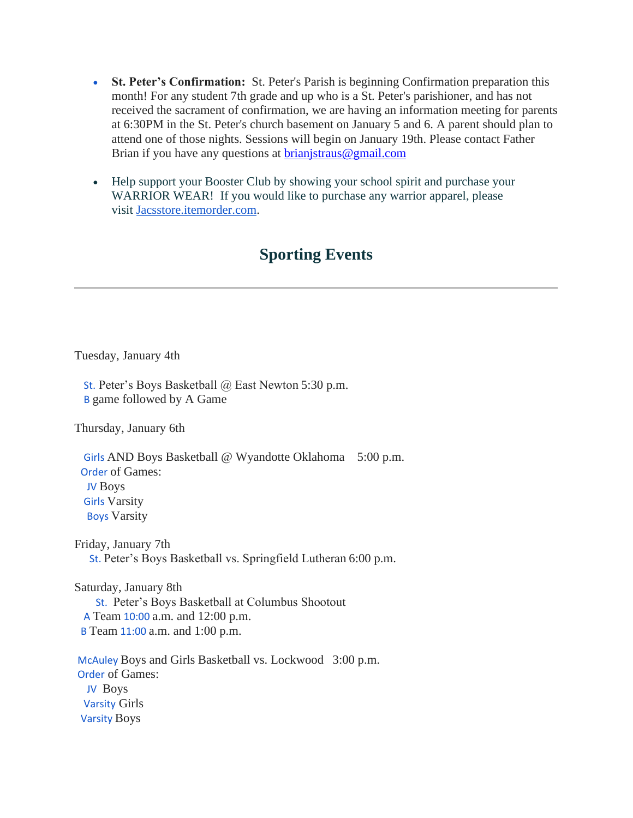- **St. Peter's Confirmation:** St. Peter's Parish is beginning Confirmation preparation this month! For any student 7th grade and up who is a St. Peter's parishioner, and has not received the sacrament of confirmation, we are having an information meeting for parents at 6:30PM in the St. Peter's church basement on January 5 and 6. A parent should plan to attend one of those nights. Sessions will begin on January 19th. Please contact Father Brian if you have any questions at **brianistraus@gmail.com**
- Help support your Booster Club by showing your school spirit and purchase your WARRIOR WEAR! If you would like to purchase any warrior apparel, please visit [Jacsstore.itemorder.com.](http://jacsstore.itemorder.com/)

## **Sporting Events**

Tuesday, January 4th

St. Peter's Boys Basketball @ East Newton 5:30 p.m. B game followed by A Game

Thursday, January 6th

Girls AND Boys Basketball @ Wyandotte Oklahoma 5:00 p.m. Order of Games: JV Boys Girls Varsity Boys Varsity

Friday, January 7th St. Peter's Boys Basketball vs. Springfield Lutheran 6:00 p.m.

Saturday, January 8th St. Peter's Boys Basketball at Columbus Shootout A Team 10:00 a.m. and 12:00 p.m. B Team 11:00 a.m. and 1:00 p.m.

McAuley Boys and Girls Basketball vs. Lockwood 3:00 p.m. Order of Games: JV Boys Varsity Girls Varsity Boys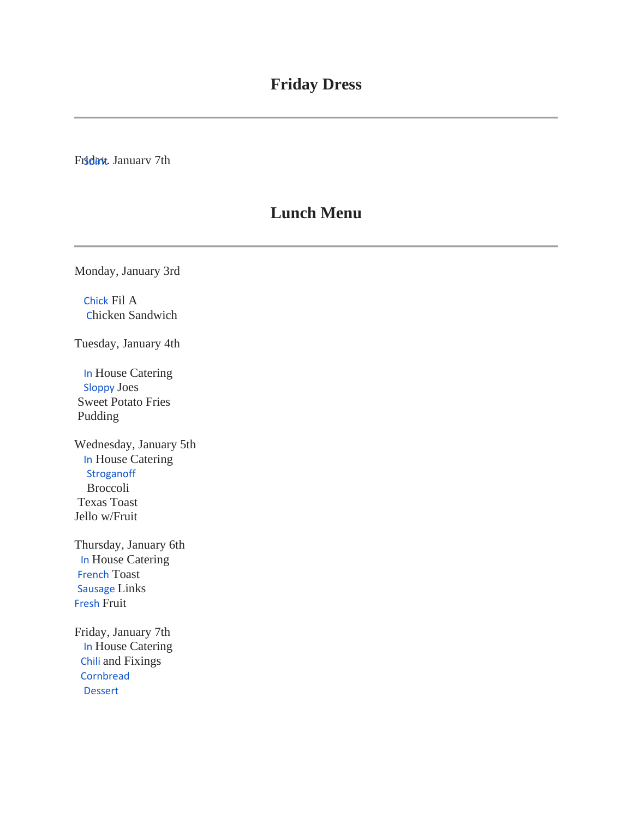Friday, January 7th

## **Lunch Menu**

Monday, January 3rd

Chick Fil A Chicken Sandwich

Tuesday, January 4th

In House Catering Sloppy Joes Sweet Potato Fries Pudding

Wednesday, January 5th In House Catering **Stroganoff**  Broccoli Texas Toast Jello w/Fruit

Thursday, January 6th **In House Catering** French Toast Sausage Links Fresh Fruit

Friday, January 7th In House Catering Chili and Fixings **Cornbread** Dessert